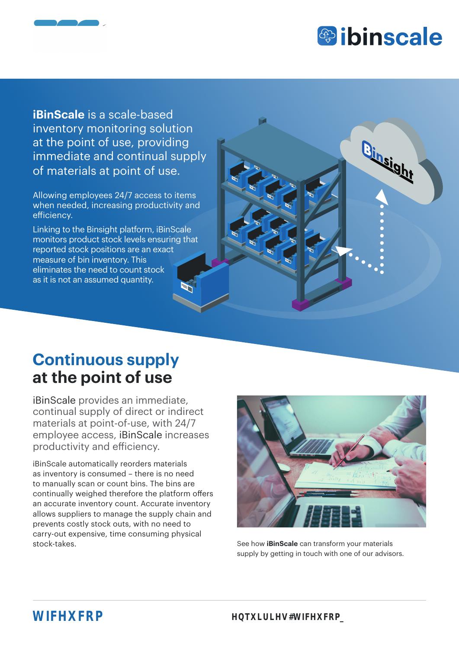

**iBinScale** is a scale-based inventory monitoring solution at the point of use, providing immediate and continual supply of materials at point of use.

Allowing employees 24/7 access to items when needed, increasing productivity and efficiency.

Linking to the Binsight platform, iBinScale monitors product stock levels ensuring that reported stock positions are an exact measure of bin inventory. This eliminates the need to count stock as it is not an assumed quantity.



## **Continuous supply at the point of use**

iBinScale provides an immediate, continual supply of direct or indirect materials at point-of-use, with 24/7 employee access, iBinScale increases productivity and efficiency.

iBinScale automatically reorders materials as inventory is consumed – there is no need to manually scan or count bins. The bins are continually weighed therefore the platform offers an accurate inventory count. Accurate inventory allows suppliers to manage the supply chain and prevents costly stock outs, with no need to carry-out expensive, time consuming physical stock-takes. See how **iBinScale** can transform your materials



supply by getting in touch with one of our advisors.